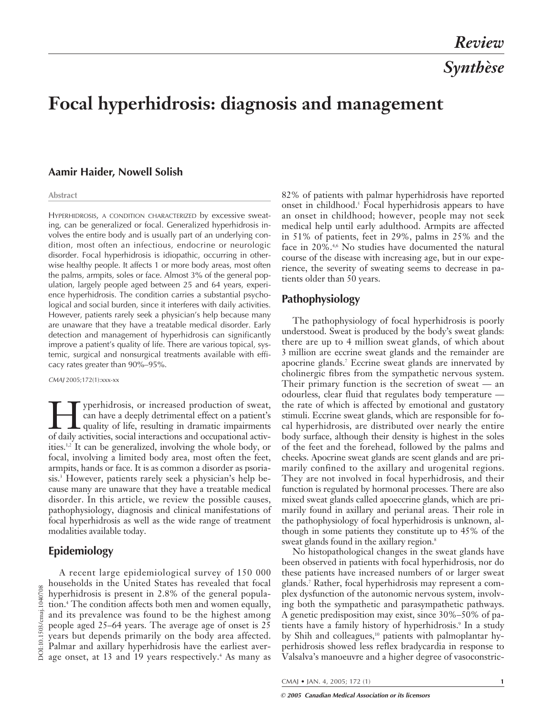# **Focal hyperhidrosis: diagnosis and management**

## **Aamir Haider, Nowell Solish**

#### **Abstract**

HYPERHIDROSIS, A CONDITION CHARACTERIZED by excessive sweating, can be generalized or focal. Generalized hyperhidrosis involves the entire body and is usually part of an underlying condition, most often an infectious, endocrine or neurologic disorder. Focal hyperhidrosis is idiopathic, occurring in otherwise healthy people. It affects 1 or more body areas, most often the palms, armpits, soles or face. Almost 3% of the general population, largely people aged between 25 and 64 years, experience hyperhidrosis. The condition carries a substantial psychological and social burden, since it interferes with daily activities. However, patients rarely seek a physician's help because many are unaware that they have a treatable medical disorder. Early detection and management of hyperhidrosis can significantly improve a patient's quality of life. There are various topical, systemic, surgical and nonsurgical treatments available with efficacy rates greater than 90%–95%.

*CMAJ* 2005;172(1):xxx-xx

yperhidrosis, or increased production of sweat, can have a deeply detrimental effect on a patient's quality of life, resulting in dramatic impairments of daily activities, social interactions and occupational activities.1,2 It can be generalized, involving the whole body, or focal, involving a limited body area, most often the feet, armpits, hands or face. It is as common a disorder as psoriasis.<sup>3</sup> However, patients rarely seek a physician's help because many are unaware that they have a treatable medical disorder. In this article, we review the possible causes, pathophysiology, diagnosis and clinical manifestations of focal hyperhidrosis as well as the wide range of treatment modalities available today.

## **Epidemiology**

A recent large epidemiological survey of 150 000 households in the United States has revealed that focal hyperhidrosis is present in 2.8% of the general population.4 The condition affects both men and women equally, and its prevalence was found to be the highest among people aged 25–64 years. The average age of onset is 25 years but depends primarily on the body area affected. Palmar and axillary hyperhidrosis have the earliest aver- $\overline{5}$  Palmar and axidary hypermaneous  $\overline{5}$ .<br>  $\overline{6}$  age onset, at 13 and 19 years respectively.<sup>4</sup> As many as

82% of patients with palmar hyperhidrosis have reported onset in childhood.5 Focal hyperhidrosis appears to have an onset in childhood; however, people may not seek medical help until early adulthood. Armpits are affected in 51% of patients, feet in 29%, palms in 25% and the face in 20%.<sup>4,6</sup> No studies have documented the natural course of the disease with increasing age, but in our experience, the severity of sweating seems to decrease in patients older than 50 years.

## **Pathophysiology**

The pathophysiology of focal hyperhidrosis is poorly understood. Sweat is produced by the body's sweat glands: there are up to 4 million sweat glands, of which about 3 million are eccrine sweat glands and the remainder are apocrine glands.7 Eccrine sweat glands are innervated by cholinergic fibres from the sympathetic nervous system. Their primary function is the secretion of sweat — an odourless, clear fluid that regulates body temperature the rate of which is affected by emotional and gustatory stimuli. Eccrine sweat glands, which are responsible for focal hyperhidrosis, are distributed over nearly the entire body surface, although their density is highest in the soles of the feet and the forehead, followed by the palms and cheeks. Apocrine sweat glands are scent glands and are primarily confined to the axillary and urogenital regions. They are not involved in focal hyperhidrosis, and their function is regulated by hormonal processes. There are also mixed sweat glands called apoeccrine glands, which are primarily found in axillary and perianal areas. Their role in the pathophysiology of focal hyperhidrosis is unknown, although in some patients they constitute up to 45% of the sweat glands found in the axillary region.<sup>8</sup>

No histopathological changes in the sweat glands have been observed in patients with focal hyperhidrosis, nor do these patients have increased numbers of or larger sweat glands.7 Rather, focal hyperhidrosis may represent a complex dysfunction of the autonomic nervous system, involving both the sympathetic and parasympathetic pathways. A genetic predisposition may exist, since 30%–50% of patients have a family history of hyperhidrosis.<sup>9</sup> In a study by Shih and colleagues,<sup>10</sup> patients with palmoplantar hyperhidrosis showed less reflex bradycardia in response to Valsalva's manoeuvre and a higher degree of vasoconstric-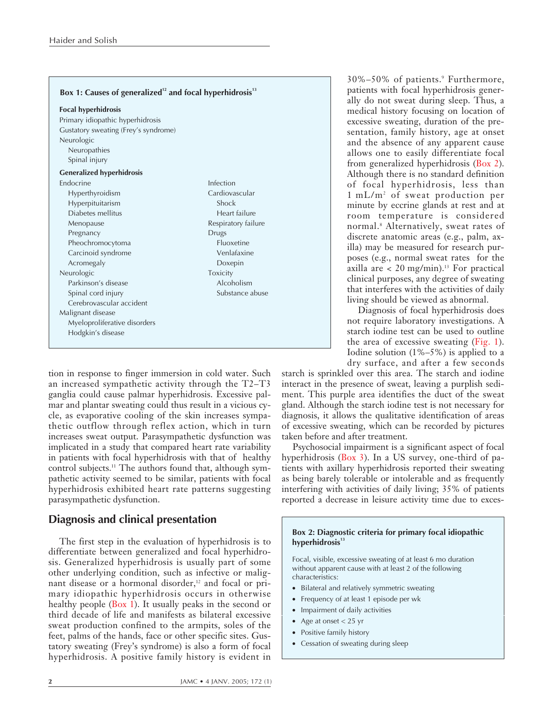| <b>Focal hyperhidrosis</b>           |                     |
|--------------------------------------|---------------------|
| Primary idiopathic hyperhidrosis     |                     |
| Gustatory sweating (Frey's syndrome) |                     |
| Neurologic                           |                     |
| Neuropathies                         |                     |
| Spinal injury                        |                     |
| <b>Generalized hyperhidrosis</b>     |                     |
| Endocrine                            | Infection           |
| Hyperthyroidism                      | Cardiovascular      |
| Hyperpituitarism                     | Shock               |
| Diabetes mellitus                    | Heart failure       |
| Menopause                            | Respiratory failure |
| Pregnancy                            | Drugs               |
| Pheochromocytoma                     | Fluoxetine          |
| Carcinoid syndrome                   | Venlafaxine         |
| Acromegaly                           | Doxepin             |
| Neurologic                           | Toxicity            |
| Parkinson's disease                  | Alcoholism          |
| Spinal cord injury                   | Substance abuse     |
| Cerebrovascular accident             |                     |
| Malignant disease                    |                     |
| Myeloproliferative disorders         |                     |
| Hodgkin's disease                    |                     |

tion in response to finger immersion in cold water. Such an increased sympathetic activity through the T2–T3 ganglia could cause palmar hyperhidrosis. Excessive palmar and plantar sweating could thus result in a vicious cycle, as evaporative cooling of the skin increases sympathetic outflow through reflex action, which in turn increases sweat output. Parasympathetic dysfunction was implicated in a study that compared heart rate variability in patients with focal hyperhidrosis with that of healthy control subjects.<sup>11</sup> The authors found that, although sympathetic activity seemed to be similar, patients with focal hyperhidrosis exhibited heart rate patterns suggesting parasympathetic dysfunction.

# **Diagnosis and clinical presentation**

The first step in the evaluation of hyperhidrosis is to differentiate between generalized and focal hyperhidrosis. Generalized hyperhidrosis is usually part of some other underlying condition, such as infective or malignant disease or a hormonal disorder,<sup>12</sup> and focal or primary idiopathic hyperhidrosis occurs in otherwise healthy people (Box 1). It usually peaks in the second or third decade of life and manifests as bilateral excessive sweat production confined to the armpits, soles of the feet, palms of the hands, face or other specific sites. Gustatory sweating (Frey's syndrome) is also a form of focal hyperhidrosis. A positive family history is evident in 30%–50% of patients.<sup>9</sup> Furthermore, patients with focal hyperhidrosis generally do not sweat during sleep. Thus, a medical history focusing on location of excessive sweating, duration of the presentation, family history, age at onset and the absence of any apparent cause allows one to easily differentiate focal from generalized hyperhidrosis (Box 2). Although there is no standard definition of focal hyperhidrosis, less than 1 mL/m2 of sweat production per minute by eccrine glands at rest and at room temperature is considered normal.8 Alternatively, sweat rates of discrete anatomic areas (e.g., palm, axilla) may be measured for research purposes (e.g., normal sweat rates for the axilla are  $<$  20 mg/min).<sup>13</sup> For practical clinical purposes, any degree of sweating that interferes with the activities of daily living should be viewed as abnormal.

Diagnosis of focal hyperhidrosis does not require laboratory investigations. A starch iodine test can be used to outline the area of excessive sweating (Fig. 1). Iodine solution  $(1\% - 5\%)$  is applied to a dry surface, and after a few seconds

starch is sprinkled over this area. The starch and iodine interact in the presence of sweat, leaving a purplish sediment. This purple area identifies the duct of the sweat gland. Although the starch iodine test is not necessary for diagnosis, it allows the qualitative identification of areas of excessive sweating, which can be recorded by pictures taken before and after treatment.

Psychosocial impairment is a significant aspect of focal hyperhidrosis (Box 3). In a US survey, one-third of patients with axillary hyperhidrosis reported their sweating as being barely tolerable or intolerable and as frequently interfering with activities of daily living; 35% of patients reported a decrease in leisure activity time due to exces-

#### **Box 2: Diagnostic criteria for primary focal idiopathic** hyperhidrosis<sup>13</sup>

Focal, visible, excessive sweating of at least 6 mo duration without apparent cause with at least 2 of the following characteristics:

- Bilateral and relatively symmetric sweating
- Frequency of at least 1 episode per wk
- Impairment of daily activities
- Age at onset  $< 25$  yr
- Positive family history
- Cessation of sweating during sleep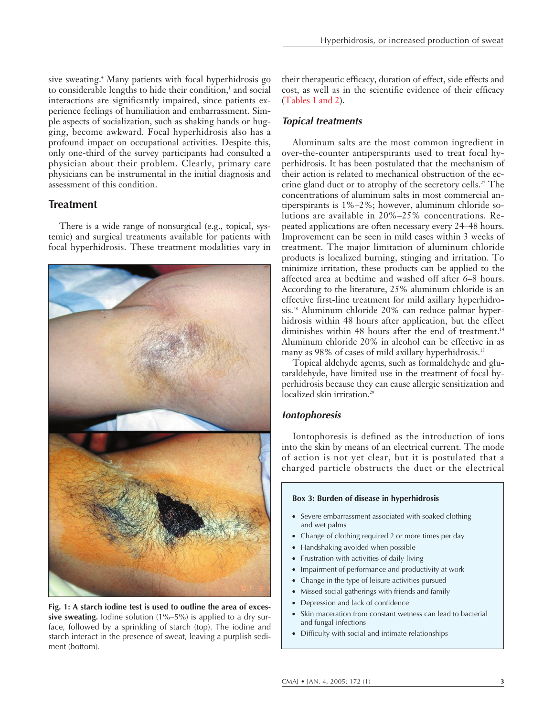sive sweating.<sup>4</sup> Many patients with focal hyperhidrosis go to considerable lengths to hide their condition,<sup>1</sup> and social interactions are significantly impaired, since patients experience feelings of humiliation and embarrassment. Simple aspects of socialization, such as shaking hands or hugging, become awkward. Focal hyperhidrosis also has a profound impact on occupational activities. Despite this, only one-third of the survey participants had consulted a physician about their problem. Clearly, primary care physicians can be instrumental in the initial diagnosis and assessment of this condition.

## **Treatment**

There is a wide range of nonsurgical (e.g., topical, systemic) and surgical treatments available for patients with focal hyperhidrosis. These treatment modalities vary in



**Fig. 1: A starch iodine test is used to outline the area of excessive sweating.** Iodine solution (1%–5%) is applied to a dry surface, followed by a sprinkling of starch (top). The iodine and starch interact in the presence of sweat, leaving a purplish sediment (bottom).

their therapeutic efficacy, duration of effect, side effects and cost, as well as in the scientific evidence of their efficacy (Tables 1 and 2).

## *Topical treatments*

Aluminum salts are the most common ingredient in over-the-counter antiperspirants used to treat focal hyperhidrosis. It has been postulated that the mechanism of their action is related to mechanical obstruction of the eccrine gland duct or to atrophy of the secretory cells.<sup>27</sup> The concentrations of aluminum salts in most commercial antiperspirants is 1%–2%; however, aluminum chloride solutions are available in 20%–25% concentrations. Repeated applications are often necessary every 24–48 hours. Improvement can be seen in mild cases within 3 weeks of treatment. The major limitation of aluminum chloride products is localized burning, stinging and irritation. To minimize irritation, these products can be applied to the affected area at bedtime and washed off after 6–8 hours. According to the literature, 25% aluminum chloride is an effective first-line treatment for mild axillary hyperhidrosis.28 Aluminum chloride 20% can reduce palmar hyperhidrosis within 48 hours after application, but the effect diminishes within 48 hours after the end of treatment.<sup>14</sup> Aluminum chloride 20% in alcohol can be effective in as many as 98% of cases of mild axillary hyperhidrosis.<sup>15</sup>

Topical aldehyde agents, such as formaldehyde and glutaraldehyde, have limited use in the treatment of focal hyperhidrosis because they can cause allergic sensitization and localized skin irritation.<sup>29</sup>

### *Iontophoresis*

Iontophoresis is defined as the introduction of ions into the skin by means of an electrical current. The mode of action is not yet clear, but it is postulated that a charged particle obstructs the duct or the electrical

#### **Box 3: Burden of disease in hyperhidrosis**

- Severe embarrassment associated with soaked clothing and wet palms
- Change of clothing required 2 or more times per day
- Handshaking avoided when possible
- Frustration with activities of daily living
- Impairment of performance and productivity at work
- Change in the type of leisure activities pursued
- Missed social gatherings with friends and family
- Depression and lack of confidence
- Skin maceration from constant wetness can lead to bacterial and fungal infections
- Difficulty with social and intimate relationships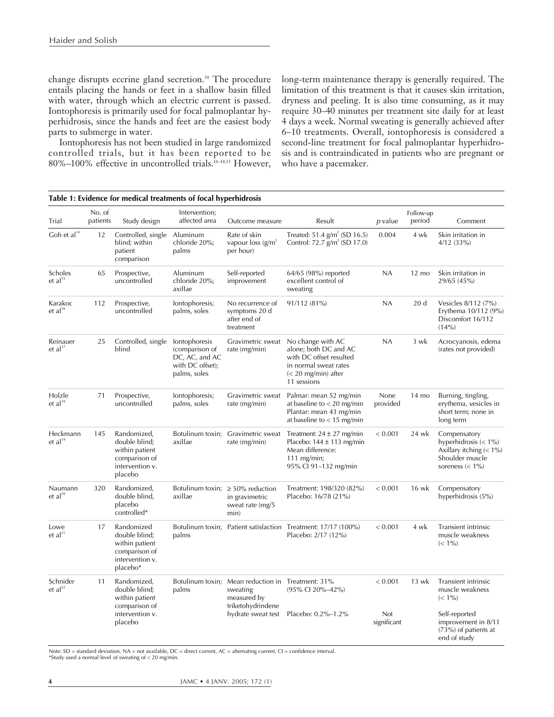change disrupts eccrine gland secretion.<sup>30</sup> The procedure entails placing the hands or feet in a shallow basin filled with water, through which an electric current is passed. Iontophoresis is primarily used for focal palmoplantar hyperhidrosis, since the hands and feet are the easiest body parts to submerge in water.

Iontophoresis has not been studied in large randomized controlled trials, but it has been reported to be 80%–100% effective in uncontrolled trials.<sup>16-18,31</sup> However, long-term maintenance therapy is generally required. The limitation of this treatment is that it causes skin irritation, dryness and peeling. It is also time consuming, as it may require 30–40 minutes per treatment site daily for at least 4 days a week. Normal sweating is generally achieved after 6–10 treatments. Overall, iontophoresis is considered a second-line treatment for focal palmoplantar hyperhidrosis and is contraindicated in patients who are pregnant or who have a pacemaker.

|                                 | Table 1: Evidence for medical treatments of focal hyperhidrosis |                                                                                               |                                                                                       |                                                                                                   |                                                                                                                                        |                    |                     |                                                                                                                |
|---------------------------------|-----------------------------------------------------------------|-----------------------------------------------------------------------------------------------|---------------------------------------------------------------------------------------|---------------------------------------------------------------------------------------------------|----------------------------------------------------------------------------------------------------------------------------------------|--------------------|---------------------|----------------------------------------------------------------------------------------------------------------|
| Trial                           | No. of<br>patients                                              | Study design                                                                                  | Intervention;<br>affected area                                                        | Outcome measure                                                                                   | Result                                                                                                                                 | p value            | Follow-up<br>period | Comment                                                                                                        |
| Goh et $al^{14}$                | 12                                                              | Controlled, single<br>blind; within<br>patient<br>comparison                                  | Aluminum<br>chloride 20%;<br>palms                                                    | Rate of skin<br>vapour loss $(g/m^2)$<br>per hour)                                                | Treated: 51.4 $g/m^2$ (SD 16.5)<br>Control: $72.7$ g/m <sup>2</sup> (SD 17.0)                                                          | 0.004              | 4 wk                | Skin irritation in<br>$4/12$ (33%)                                                                             |
| Scholes<br>et al <sup>15</sup>  | 65                                                              | Prospective,<br>uncontrolled                                                                  | Aluminum<br>chloride 20%;<br>axillae                                                  | Self-reported<br>improvement                                                                      | 64/65 (98%) reported<br>excellent control of<br>sweating                                                                               | NA                 | $12 \text{ mo}$     | Skin irritation in<br>29/65 (45%)                                                                              |
| Karakoc<br>et al <sup>16</sup>  | 112                                                             | Prospective,<br>uncontrolled                                                                  | lontophoresis;<br>palms, soles                                                        | No recurrence of<br>symptoms 20 d<br>after end of<br>treatment                                    | 91/112 (81%)                                                                                                                           | NA                 | 20d                 | Vesicles 8/112 (7%)<br>Erythema 10/112 (9%)<br>Discomfort 16/112<br>(14%)                                      |
| Reinauer<br>et al <sup>17</sup> | 25                                                              | Controlled, single<br>blind                                                                   | lontophoresis<br>(comparison of<br>DC, AC, and AC<br>with DC offset);<br>palms, soles | Gravimetric sweat<br>rate (mg/min)                                                                | No change with AC<br>alone; both DC and AC<br>with DC offset resulted<br>in normal sweat rates<br>$(< 20$ mg/min) after<br>11 sessions | <b>NA</b>          | 3 wk                | Acrocyanosis, edema<br>(rates not provided)                                                                    |
| Holzle<br>${\rm et\;al^{18}}$   | 71                                                              | Prospective,<br>uncontrolled                                                                  | lontophoresis;<br>palms, soles                                                        | Gravimetric sweat<br>rate (mg/min)                                                                | Palmar: mean 52 mg/min<br>at baseline to $<$ 20 mg/min<br>Plantar: mean 43 mg/min<br>at baseline to $<$ 15 mg/min                      | None<br>provided   | 14 mo               | Burning, tingling,<br>erythema, vesicles in<br>short term; none in<br>long term                                |
| Heckmann<br>et al <sup>19</sup> | 145                                                             | Randomized,<br>double blind;<br>within patient<br>comparison of<br>intervention v.<br>placebo | Botulinum toxin;<br>axillae                                                           | Gravimetric sweat<br>rate (mg/min)                                                                | Treatment: $24 \pm 27$ mg/min<br>Placebo: $144 \pm 113$ mg/min<br>Mean difference:<br>$111$ mg/min;<br>95% CI 91-132 mg/min            | < 0.001            | 24 wk               | Compensatory<br>hyperhidrosis $(< 1\%)$<br>Axillary itching $(< 1\%)$<br>Shoulder muscle<br>soreness $(< 1\%)$ |
| Naumann<br>$et al^{20}$         | 320                                                             | Randomized,<br>double blind,<br>placebo<br>controlled*                                        | axillae                                                                               | Botulinum toxin; $\geq 50\%$ reduction<br>in gravimetric<br>sweat rate (mg/5<br>min)              | Treatment: 198/320 (82%)<br>Placebo: 16/78 (21%)                                                                                       | < 0.001            | 16 wk               | Compensatory<br>hyperhidrosis (5%)                                                                             |
| Lowe<br>et al <sup>21</sup>     | 17                                                              | Randomized<br>double blind;<br>within patient<br>comparison of<br>intervention v.<br>placebo* | palms                                                                                 |                                                                                                   | Botulinum toxin; Patient satisfaction Treatment: 17/17 (100%)<br>Placebo: 2/17 (12%)                                                   | < 0.001            | 4 wk                | <b>Transient intrinsic</b><br>muscle weakness<br>$(< 1\%)$                                                     |
| Schnider<br>$et al^{22}$        | 11                                                              | Randomized,<br>double blind;<br>within patient<br>comparison of                               | palms                                                                                 | Botulinum toxin; Mean reduction in Treatment: 31%<br>sweating<br>measured by<br>triketohydrindene | (95% CI 20%-42%)                                                                                                                       | < 0.001            | 13 wk               | Transient intrinsic<br>muscle weakness<br>$(< 1\%)$                                                            |
|                                 |                                                                 | intervention v.<br>placebo                                                                    |                                                                                       | hydrate sweat test                                                                                | Placebo: 0.2%-1.2%                                                                                                                     | Not<br>significant |                     | Self-reported<br>improvement in 8/11<br>$(73%)$ of patients at<br>end of study                                 |

Note:  $SD =$  standard deviation,  $NA =$  not available,  $DC =$  direct current,  $AC =$  alternating current,  $CI =$  confidence interval. \*Study used a normal level of sweating of < 20 mg/min.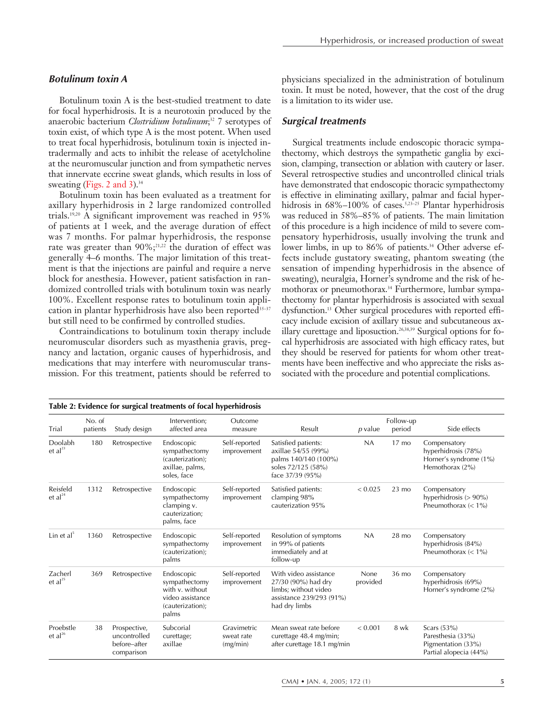#### *Botulinum toxin A*

Botulinum toxin A is the best-studied treatment to date for focal hyperhidrosis. It is a neurotoxin produced by the anaerobic bacterium *Clostridium botulinum*; <sup>32</sup> 7 serotypes of toxin exist, of which type A is the most potent. When used to treat focal hyperhidrosis, botulinum toxin is injected intradermally and acts to inhibit the release of acetylcholine at the neuromuscular junction and from sympathetic nerves that innervate eccrine sweat glands, which results in loss of sweating (Figs. 2 and 3). $34$ 

Botulinum toxin has been evaluated as a treatment for axillary hyperhidrosis in 2 large randomized controlled trials.19,20 A significant improvement was reached in 95% of patients at 1 week, and the average duration of effect was 7 months. For palmar hyperhidrosis, the response rate was greater than  $90\%$ ;<sup>21,22</sup> the duration of effect was generally 4–6 months. The major limitation of this treatment is that the injections are painful and require a nerve block for anesthesia. However, patient satisfaction in randomized controlled trials with botulinum toxin was nearly 100%. Excellent response rates to botulinum toxin application in plantar hyperhidrosis have also been reported<sup>35-37</sup> but still need to be confirmed by controlled studies.

Contraindications to botulinum toxin therapy include neuromuscular disorders such as myasthenia gravis, pregnancy and lactation, organic causes of hyperhidrosis, and medications that may interfere with neuromuscular transmission. For this treatment, patients should be referred to

physicians specialized in the administration of botulinum toxin. It must be noted, however, that the cost of the drug is a limitation to its wider use.

#### *Surgical treatments*

Surgical treatments include endoscopic thoracic sympathectomy, which destroys the sympathetic ganglia by excision, clamping, transection or ablation with cautery or laser. Several retrospective studies and uncontrolled clinical trials have demonstrated that endoscopic thoracic sympathectomy is effective in eliminating axillary, palmar and facial hyperhidrosis in 68%–100% of cases.<sup>5,23-25</sup> Plantar hyperhidrosis was reduced in 58%–85% of patients. The main limitation of this procedure is a high incidence of mild to severe compensatory hyperhidrosis, usually involving the trunk and lower limbs, in up to 86% of patients.<sup>34</sup> Other adverse effects include gustatory sweating, phantom sweating (the sensation of impending hyperhidrosis in the absence of sweating), neuralgia, Horner's syndrome and the risk of hemothorax or pneumothorax.<sup>34</sup> Furthermore, lumbar sympathectomy for plantar hyperhidrosis is associated with sexual dysfunction.13 Other surgical procedures with reported efficacy include excision of axillary tissue and subcutaneous axillary curettage and liposuction.26,38,39 Surgical options for focal hyperhidrosis are associated with high efficacy rates, but they should be reserved for patients for whom other treatments have been ineffective and who appreciate the risks associated with the procedure and potential complications.

| Trial                           | No. of<br>patients | Study design                                               | Intervention;<br>affected area                                                                  | Outcome<br>measure                    | Result                                                                                                            | $p$ value        | Follow-up<br>period | Side effects                                                                       |
|---------------------------------|--------------------|------------------------------------------------------------|-------------------------------------------------------------------------------------------------|---------------------------------------|-------------------------------------------------------------------------------------------------------------------|------------------|---------------------|------------------------------------------------------------------------------------|
| Doolabh<br>$et al^{23}$         | 180                | Retrospective                                              | Endoscopic<br>sympathectomy<br>(cauterization);<br>axillae, palms,<br>soles, face               | Self-reported<br>improvement          | Satisfied patients:<br>axillae 54/55 (99%)<br>palms 140/140 (100%)<br>soles 72/125 (58%)<br>face 37/39 (95%)      | <b>NA</b>        | $17 \text{ mo}$     | Compensatory<br>hyperhidrosis (78%)<br>Horner's syndrome (1%)<br>Hemothorax (2%)   |
| Reisfeld<br>et al <sup>24</sup> | 1312               | Retrospective                                              | Endoscopic<br>sympathectomy<br>clamping v.<br>cauterization;<br>palms, face                     | Self-reported<br>improvement          | Satisfied patients:<br>clamping 98%<br>cauterization 95%                                                          | < 0.025          | $23 \text{ mo}$     | Compensatory<br>hyperhidrosis $(>90\%)$<br>Pneumothorax $(< 1\%)$                  |
| Lin et $al5$                    | 1360               | Retrospective                                              | Endoscopic<br>sympathectomy<br>(cauterization);<br>palms                                        | Self-reported<br>improvement          | Resolution of symptoms<br>in 99% of patients<br>immediately and at<br>follow-up                                   | <b>NA</b>        | 28 mo               | Compensatory<br>hyperhidrosis (84%)<br>Pneumothorax $(< 1\%)$                      |
| Zacherl<br>et al $^{25}$        | 369                | Retrospective                                              | Endoscopic<br>sympathectomy<br>with v. without<br>video assistance<br>(cauterization);<br>palms | Self-reported<br>improvement          | With video assistance<br>27/30 (90%) had dry<br>limbs; without video<br>assistance 239/293 (91%)<br>had dry limbs | None<br>provided | 36 mo               | Compensatory<br>hyperhidrosis (69%)<br>Horner's syndrome (2%)                      |
| Proebstle<br>$et al^{26}$       | 38                 | Prospective,<br>uncontrolled<br>before-after<br>comparison | Subcorial<br>curettage;<br>axillae                                                              | Gravimetric<br>sweat rate<br>(mg/min) | Mean sweat rate before<br>curettage 48.4 mg/min;<br>after curettage 18.1 mg/min                                   | < 0.001          | 8 wk                | Scars $(53%)$<br>Paresthesia (33%)<br>Pigmentation (33%)<br>Partial alopecia (44%) |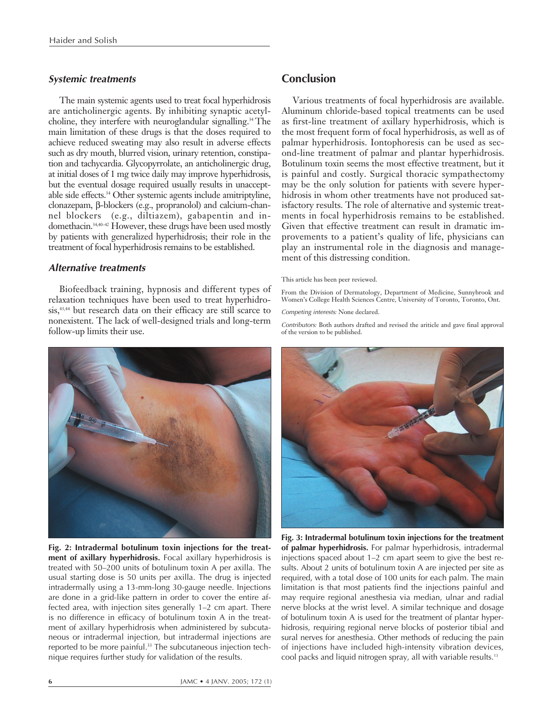#### *Systemic treatments*

The main systemic agents used to treat focal hyperhidrosis are anticholinergic agents. By inhibiting synaptic acetylcholine, they interfere with neuroglandular signalling.<sup>34</sup> The main limitation of these drugs is that the doses required to achieve reduced sweating may also result in adverse effects such as dry mouth, blurred vision, urinary retention, constipation and tachycardia. Glycopyrrolate, an anticholinergic drug, at initial doses of 1 mg twice daily may improve hyperhidrosis, but the eventual dosage required usually results in unacceptable side effects.34 Other systemic agents include amitriptyline, clonazepam, β-blockers (e.g., propranolol) and calcium-channel blockers (e.g., diltiazem), gabapentin and indomethacin.34,40–42 However, these drugs have been used mostly by patients with generalized hyperhidrosis; their role in the treatment of focal hyperhidrosis remains to be established.

#### *Alternative treatments*

Biofeedback training, hypnosis and different types of relaxation techniques have been used to treat hyperhidrosis,<sup>43,44</sup> but research data on their efficacy are still scarce to nonexistent. The lack of well-designed trials and long-term follow-up limits their use.



**Fig. 2: Intradermal botulinum toxin injections for the treatment of axillary hyperhidrosis.** Focal axillary hyperhidrosis is treated with 50–200 units of botulinum toxin A per axilla. The usual starting dose is 50 units per axilla. The drug is injected intradermally using a 13-mm-long 30-gauge needle. Injections are done in a grid-like pattern in order to cover the entire affected area, with injection sites generally 1–2 cm apart. There is no difference in efficacy of botulinum toxin A in the treatment of axillary hyperhidrosis when administered by subcutaneous or intradermal injection, but intradermal injections are reported to be more painful.<sup>33</sup> The subcutaneous injection technique requires further study for validation of the results.

## **Conclusion**

Various treatments of focal hyperhidrosis are available. Aluminum chloride-based topical treatments can be used as first-line treatment of axillary hyperhidrosis, which is the most frequent form of focal hyperhidrosis, as well as of palmar hyperhidrosis. Iontophoresis can be used as second-line treatment of palmar and plantar hyperhidrosis. Botulinum toxin seems the most effective treatment, but it is painful and costly. Surgical thoracic sympathectomy may be the only solution for patients with severe hyperhidrosis in whom other treatments have not produced satisfactory results. The role of alternative and systemic treatments in focal hyperhidrosis remains to be established. Given that effective treatment can result in dramatic improvements to a patient's quality of life, physicians can play an instrumental role in the diagnosis and management of this distressing condition.

#### This article has been peer reviewed.

From the Division of Dermatology, Department of Medicine, Sunnybrook and Women's College Health Sciences Centre, University of Toronto, Toronto, Ont.

*Competing interests:* None declared.

*Contributors:* Both authors drafted and revised the ariticle and gave final approval of the version to be published.



**Fig. 3: Intradermal botulinum toxin injections for the treatment of palmar hyperhidrosis.** For palmar hyperhidrosis, intradermal injections spaced about 1–2 cm apart seem to give the best results. About 2 units of botulinum toxin A are injected per site as required, with a total dose of 100 units for each palm. The main limitation is that most patients find the injections painful and may require regional anesthesia via median, ulnar and radial nerve blocks at the wrist level. A similar technique and dosage of botulinum toxin A is used for the treatment of plantar hyperhidrosis, requiring regional nerve blocks of posterior tibial and sural nerves for anesthesia. Other methods of reducing the pain of injections have included high-intensity vibration devices, cool packs and liquid nitrogen spray, all with variable results.13